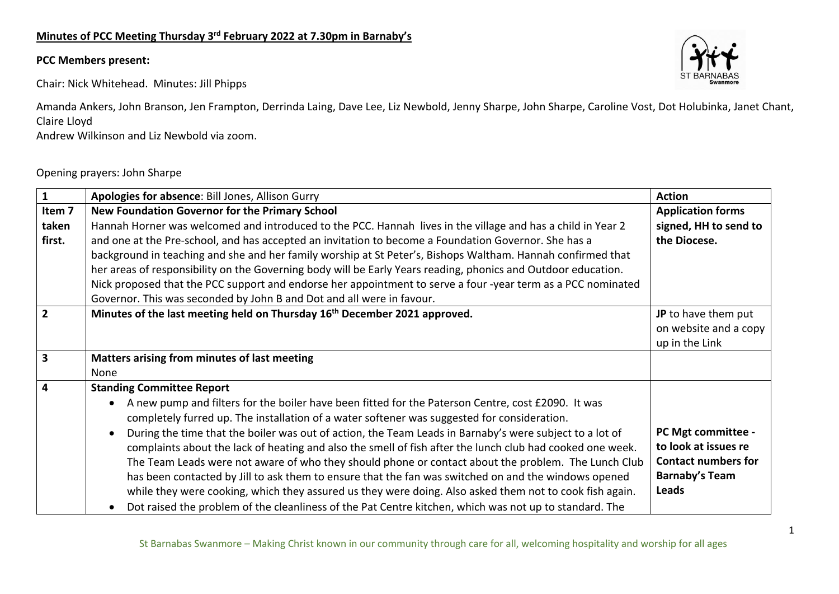## **Minutes of PCC Meeting Thursday 3rd February 2022 at 7.30pm in Barnaby's**

## **PCC Members present:**

Chair: Nick Whitehead. Minutes: Jill Phipps

Amanda Ankers, John Branson, Jen Frampton, Derrinda Laing, Dave Lee, Liz Newbold, Jenny Sharpe, John Sharpe, Caroline Vost, Dot Holubinka, Janet Chant, Claire Lloyd

Andrew Wilkinson and Liz Newbold via zoom.

## Opening prayers: John Sharpe

| $\mathbf{1}$            | Apologies for absence: Bill Jones, Allison Gurry                                                                                                                                                                                                                                                                                                                                                                                                                                                                                                                                                                                                                                                                                                                                                                                                                                                                            | <b>Action</b>                                                                                              |
|-------------------------|-----------------------------------------------------------------------------------------------------------------------------------------------------------------------------------------------------------------------------------------------------------------------------------------------------------------------------------------------------------------------------------------------------------------------------------------------------------------------------------------------------------------------------------------------------------------------------------------------------------------------------------------------------------------------------------------------------------------------------------------------------------------------------------------------------------------------------------------------------------------------------------------------------------------------------|------------------------------------------------------------------------------------------------------------|
| Item <sub>7</sub>       | New Foundation Governor for the Primary School                                                                                                                                                                                                                                                                                                                                                                                                                                                                                                                                                                                                                                                                                                                                                                                                                                                                              | <b>Application forms</b>                                                                                   |
| taken<br>first.         | Hannah Horner was welcomed and introduced to the PCC. Hannah lives in the village and has a child in Year 2<br>and one at the Pre-school, and has accepted an invitation to become a Foundation Governor. She has a<br>background in teaching and she and her family worship at St Peter's, Bishops Waltham. Hannah confirmed that<br>her areas of responsibility on the Governing body will be Early Years reading, phonics and Outdoor education.<br>Nick proposed that the PCC support and endorse her appointment to serve a four -year term as a PCC nominated<br>Governor. This was seconded by John B and Dot and all were in favour.                                                                                                                                                                                                                                                                                | signed, HH to send to<br>the Diocese.                                                                      |
| $\overline{2}$          | Minutes of the last meeting held on Thursday 16 <sup>th</sup> December 2021 approved.                                                                                                                                                                                                                                                                                                                                                                                                                                                                                                                                                                                                                                                                                                                                                                                                                                       | JP to have them put<br>on website and a copy<br>up in the Link                                             |
| $\overline{\mathbf{3}}$ | Matters arising from minutes of last meeting                                                                                                                                                                                                                                                                                                                                                                                                                                                                                                                                                                                                                                                                                                                                                                                                                                                                                |                                                                                                            |
|                         | None                                                                                                                                                                                                                                                                                                                                                                                                                                                                                                                                                                                                                                                                                                                                                                                                                                                                                                                        |                                                                                                            |
| $\overline{\mathbf{4}}$ | <b>Standing Committee Report</b><br>A new pump and filters for the boiler have been fitted for the Paterson Centre, cost £2090. It was<br>$\bullet$<br>completely furred up. The installation of a water softener was suggested for consideration.<br>During the time that the boiler was out of action, the Team Leads in Barnaby's were subject to a lot of<br>$\bullet$<br>complaints about the lack of heating and also the smell of fish after the lunch club had cooked one week.<br>The Team Leads were not aware of who they should phone or contact about the problem. The Lunch Club<br>has been contacted by Jill to ask them to ensure that the fan was switched on and the windows opened<br>while they were cooking, which they assured us they were doing. Also asked them not to cook fish again.<br>Dot raised the problem of the cleanliness of the Pat Centre kitchen, which was not up to standard. The | PC Mgt committee -<br>to look at issues re<br><b>Contact numbers for</b><br><b>Barnaby's Team</b><br>Leads |

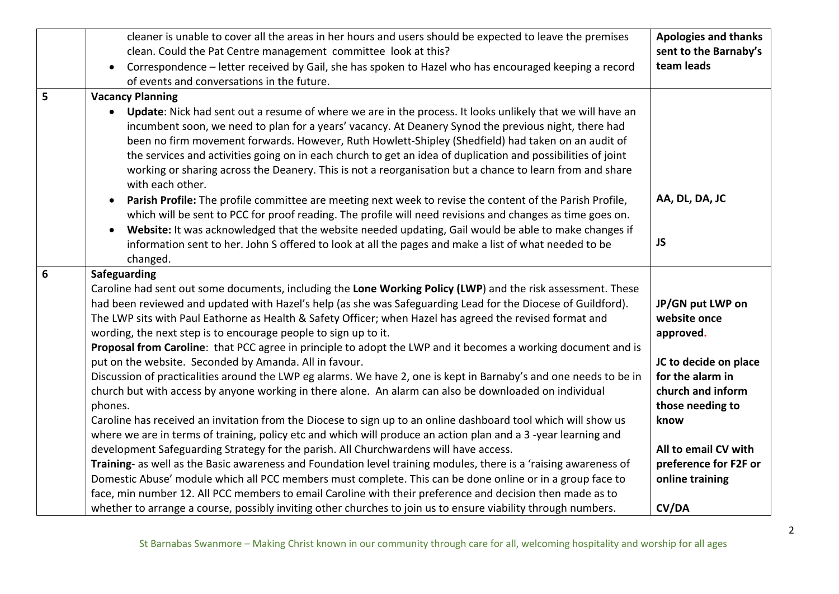|                | cleaner is unable to cover all the areas in her hours and users should be expected to leave the premises<br>clean. Could the Pat Centre management committee look at this?<br>Correspondence - letter received by Gail, she has spoken to Hazel who has encouraged keeping a record<br>of events and conversations in the future.                                                                                                                                                                                                                                                                                                                                                                                                                                                                                                                                                                                                                                                                                                                                                                                                                                                                                                                                                                                                                                                                                                                                                                                                                                                                                                           | <b>Apologies and thanks</b><br>sent to the Barnaby's<br>team leads                                                                                                                                                              |
|----------------|---------------------------------------------------------------------------------------------------------------------------------------------------------------------------------------------------------------------------------------------------------------------------------------------------------------------------------------------------------------------------------------------------------------------------------------------------------------------------------------------------------------------------------------------------------------------------------------------------------------------------------------------------------------------------------------------------------------------------------------------------------------------------------------------------------------------------------------------------------------------------------------------------------------------------------------------------------------------------------------------------------------------------------------------------------------------------------------------------------------------------------------------------------------------------------------------------------------------------------------------------------------------------------------------------------------------------------------------------------------------------------------------------------------------------------------------------------------------------------------------------------------------------------------------------------------------------------------------------------------------------------------------|---------------------------------------------------------------------------------------------------------------------------------------------------------------------------------------------------------------------------------|
| 5 <sup>1</sup> | <b>Vacancy Planning</b><br>Update: Nick had sent out a resume of where we are in the process. It looks unlikely that we will have an<br>incumbent soon, we need to plan for a years' vacancy. At Deanery Synod the previous night, there had<br>been no firm movement forwards. However, Ruth Howlett-Shipley (Shedfield) had taken on an audit of<br>the services and activities going on in each church to get an idea of duplication and possibilities of joint<br>working or sharing across the Deanery. This is not a reorganisation but a chance to learn from and share<br>with each other.<br>Parish Profile: The profile committee are meeting next week to revise the content of the Parish Profile,<br>$\bullet$<br>which will be sent to PCC for proof reading. The profile will need revisions and changes as time goes on.                                                                                                                                                                                                                                                                                                                                                                                                                                                                                                                                                                                                                                                                                                                                                                                                    | AA, DL, DA, JC                                                                                                                                                                                                                  |
|                | Website: It was acknowledged that the website needed updating, Gail would be able to make changes if<br>$\bullet$<br>information sent to her. John S offered to look at all the pages and make a list of what needed to be<br>changed.                                                                                                                                                                                                                                                                                                                                                                                                                                                                                                                                                                                                                                                                                                                                                                                                                                                                                                                                                                                                                                                                                                                                                                                                                                                                                                                                                                                                      | <b>JS</b>                                                                                                                                                                                                                       |
| 6              | Safeguarding<br>Caroline had sent out some documents, including the Lone Working Policy (LWP) and the risk assessment. These<br>had been reviewed and updated with Hazel's help (as she was Safeguarding Lead for the Diocese of Guildford).<br>The LWP sits with Paul Eathorne as Health & Safety Officer; when Hazel has agreed the revised format and<br>wording, the next step is to encourage people to sign up to it.<br>Proposal from Caroline: that PCC agree in principle to adopt the LWP and it becomes a working document and is<br>put on the website. Seconded by Amanda. All in favour.<br>Discussion of practicalities around the LWP eg alarms. We have 2, one is kept in Barnaby's and one needs to be in<br>church but with access by anyone working in there alone. An alarm can also be downloaded on individual<br>phones.<br>Caroline has received an invitation from the Diocese to sign up to an online dashboard tool which will show us<br>where we are in terms of training, policy etc and which will produce an action plan and a 3-year learning and<br>development Safeguarding Strategy for the parish. All Churchwardens will have access.<br>Training- as well as the Basic awareness and Foundation level training modules, there is a 'raising awareness of<br>Domestic Abuse' module which all PCC members must complete. This can be done online or in a group face to<br>face, min number 12. All PCC members to email Caroline with their preference and decision then made as to<br>whether to arrange a course, possibly inviting other churches to join us to ensure viability through numbers. | JP/GN put LWP on<br>website once<br>approved.<br>JC to decide on place<br>for the alarm in<br>church and inform<br>those needing to<br>know<br>All to email CV with<br>preference for F2F or<br>online training<br><b>CV/DA</b> |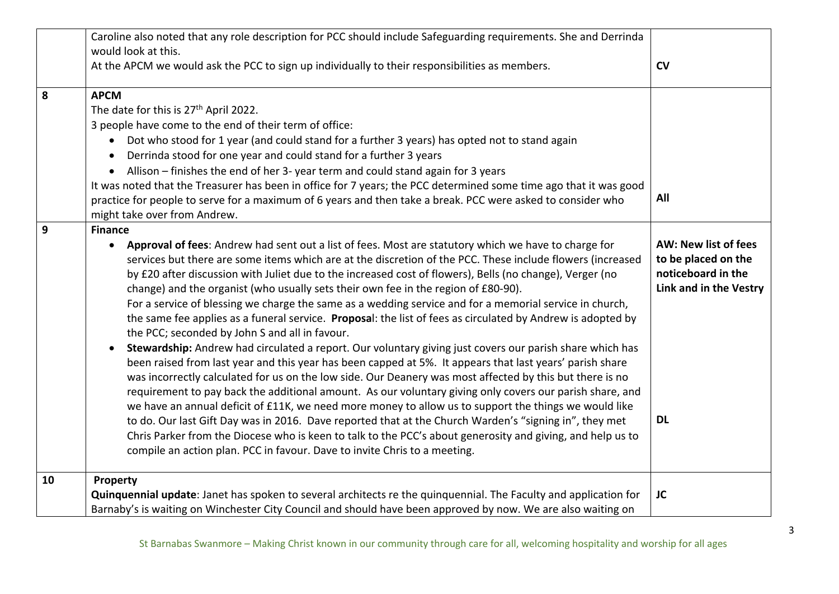|    | Caroline also noted that any role description for PCC should include Safeguarding requirements. She and Derrinda<br>would look at this.<br>At the APCM we would ask the PCC to sign up individually to their responsibilities as members.                                                                                                                                                                                                                                                                                                                                                                                                                                                                                                                                                                                                                                                                                                                                                                                                                                                                                                                                                                                                                                                                                                                                                                                                                                                                                                                                        | <b>CV</b>                                                                                                |
|----|----------------------------------------------------------------------------------------------------------------------------------------------------------------------------------------------------------------------------------------------------------------------------------------------------------------------------------------------------------------------------------------------------------------------------------------------------------------------------------------------------------------------------------------------------------------------------------------------------------------------------------------------------------------------------------------------------------------------------------------------------------------------------------------------------------------------------------------------------------------------------------------------------------------------------------------------------------------------------------------------------------------------------------------------------------------------------------------------------------------------------------------------------------------------------------------------------------------------------------------------------------------------------------------------------------------------------------------------------------------------------------------------------------------------------------------------------------------------------------------------------------------------------------------------------------------------------------|----------------------------------------------------------------------------------------------------------|
| 8  | <b>APCM</b><br>The date for this is 27 <sup>th</sup> April 2022.<br>3 people have come to the end of their term of office:<br>Dot who stood for 1 year (and could stand for a further 3 years) has opted not to stand again<br>Derrinda stood for one year and could stand for a further 3 years<br>$\bullet$<br>Allison - finishes the end of her 3- year term and could stand again for 3 years<br>$\bullet$<br>It was noted that the Treasurer has been in office for 7 years; the PCC determined some time ago that it was good<br>practice for people to serve for a maximum of 6 years and then take a break. PCC were asked to consider who<br>might take over from Andrew.                                                                                                                                                                                                                                                                                                                                                                                                                                                                                                                                                                                                                                                                                                                                                                                                                                                                                               | All                                                                                                      |
| 9  | <b>Finance</b><br>Approval of fees: Andrew had sent out a list of fees. Most are statutory which we have to charge for<br>services but there are some items which are at the discretion of the PCC. These include flowers (increased<br>by £20 after discussion with Juliet due to the increased cost of flowers), Bells (no change), Verger (no<br>change) and the organist (who usually sets their own fee in the region of £80-90).<br>For a service of blessing we charge the same as a wedding service and for a memorial service in church,<br>the same fee applies as a funeral service. Proposal: the list of fees as circulated by Andrew is adopted by<br>the PCC; seconded by John S and all in favour.<br>Stewardship: Andrew had circulated a report. Our voluntary giving just covers our parish share which has<br>been raised from last year and this year has been capped at 5%. It appears that last years' parish share<br>was incorrectly calculated for us on the low side. Our Deanery was most affected by this but there is no<br>requirement to pay back the additional amount. As our voluntary giving only covers our parish share, and<br>we have an annual deficit of £11K, we need more money to allow us to support the things we would like<br>to do. Our last Gift Day was in 2016. Dave reported that at the Church Warden's "signing in", they met<br>Chris Parker from the Diocese who is keen to talk to the PCC's about generosity and giving, and help us to<br>compile an action plan. PCC in favour. Dave to invite Chris to a meeting. | <b>AW: New list of fees</b><br>to be placed on the<br>noticeboard in the<br>Link and in the Vestry<br>DL |
| 10 | Property<br>Quinquennial update: Janet has spoken to several architects re the quinquennial. The Faculty and application for<br>Barnaby's is waiting on Winchester City Council and should have been approved by now. We are also waiting on                                                                                                                                                                                                                                                                                                                                                                                                                                                                                                                                                                                                                                                                                                                                                                                                                                                                                                                                                                                                                                                                                                                                                                                                                                                                                                                                     | <b>JC</b>                                                                                                |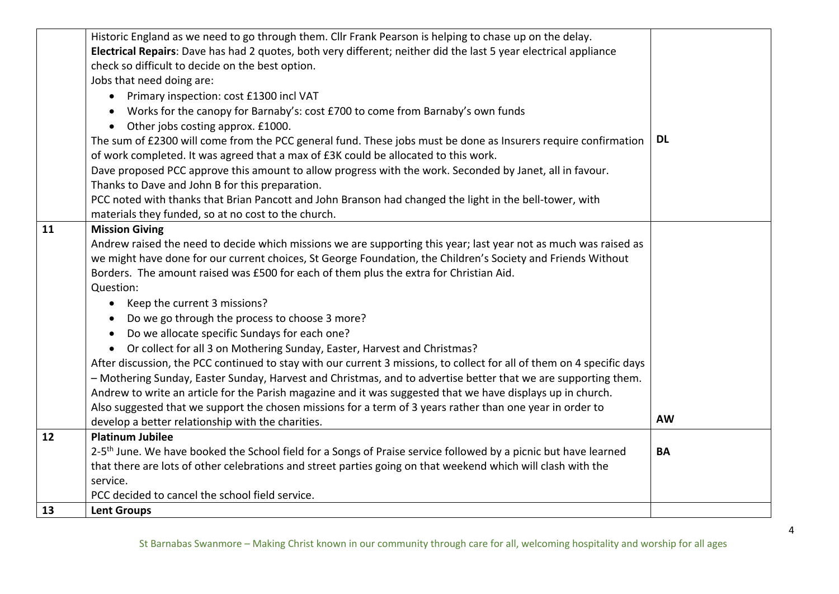|    | Historic England as we need to go through them. Cllr Frank Pearson is helping to chase up on the delay.                     |           |
|----|-----------------------------------------------------------------------------------------------------------------------------|-----------|
|    | Electrical Repairs: Dave has had 2 quotes, both very different; neither did the last 5 year electrical appliance            |           |
|    | check so difficult to decide on the best option.                                                                            |           |
|    | Jobs that need doing are:                                                                                                   |           |
|    | Primary inspection: cost £1300 incl VAT<br>$\bullet$                                                                        |           |
|    | Works for the canopy for Barnaby's: cost £700 to come from Barnaby's own funds                                              |           |
|    | Other jobs costing approx. £1000.<br>$\bullet$                                                                              |           |
|    | The sum of £2300 will come from the PCC general fund. These jobs must be done as Insurers require confirmation              | <b>DL</b> |
|    | of work completed. It was agreed that a max of £3K could be allocated to this work.                                         |           |
|    | Dave proposed PCC approve this amount to allow progress with the work. Seconded by Janet, all in favour.                    |           |
|    | Thanks to Dave and John B for this preparation.                                                                             |           |
|    | PCC noted with thanks that Brian Pancott and John Branson had changed the light in the bell-tower, with                     |           |
|    | materials they funded, so at no cost to the church.                                                                         |           |
| 11 | <b>Mission Giving</b>                                                                                                       |           |
|    | Andrew raised the need to decide which missions we are supporting this year; last year not as much was raised as            |           |
|    | we might have done for our current choices, St George Foundation, the Children's Society and Friends Without                |           |
|    | Borders. The amount raised was £500 for each of them plus the extra for Christian Aid.                                      |           |
|    | Question:                                                                                                                   |           |
|    | Keep the current 3 missions?<br>$\bullet$                                                                                   |           |
|    | Do we go through the process to choose 3 more?                                                                              |           |
|    | Do we allocate specific Sundays for each one?<br>$\bullet$                                                                  |           |
|    | Or collect for all 3 on Mothering Sunday, Easter, Harvest and Christmas?<br>$\bullet$                                       |           |
|    | After discussion, the PCC continued to stay with our current 3 missions, to collect for all of them on 4 specific days      |           |
|    | - Mothering Sunday, Easter Sunday, Harvest and Christmas, and to advertise better that we are supporting them.              |           |
|    | Andrew to write an article for the Parish magazine and it was suggested that we have displays up in church.                 |           |
|    | Also suggested that we support the chosen missions for a term of 3 years rather than one year in order to                   |           |
|    | develop a better relationship with the charities.                                                                           | <b>AW</b> |
| 12 | <b>Platinum Jubilee</b>                                                                                                     |           |
|    | 2-5 <sup>th</sup> June. We have booked the School field for a Songs of Praise service followed by a picnic but have learned | <b>BA</b> |
|    | that there are lots of other celebrations and street parties going on that weekend which will clash with the                |           |
|    | service.                                                                                                                    |           |
|    | PCC decided to cancel the school field service.                                                                             |           |
| 13 | <b>Lent Groups</b>                                                                                                          |           |